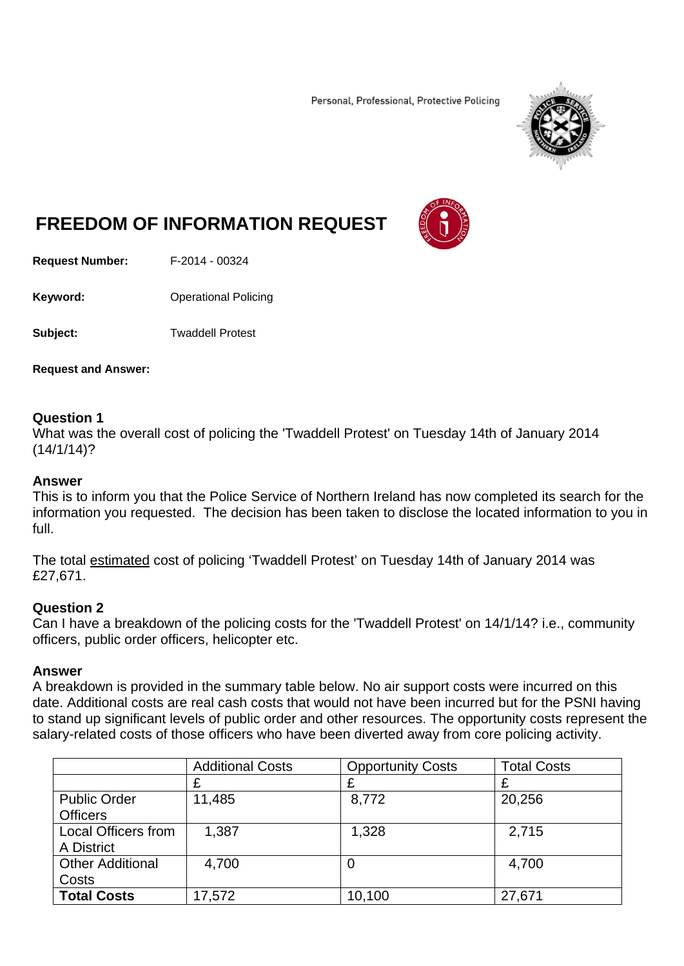Personal, Professional, Protective Policing



# **FREEDOM OF INFORMATION REQUEST**

**Request Number:** F-2014 - 00324

**Keyword: C**Derational Policing

**Subject:** Twaddell Protest

**Request and Answer:** 

### **Question 1**

What was the overall cost of policing the 'Twaddell Protest' on Tuesday 14th of January 2014  $(14/1/14)$ ?

#### **Answer**

This is to inform you that the Police Service of Northern Ireland has now completed its search for the information you requested. The decision has been taken to disclose the located information to you in full.

The total estimated cost of policing 'Twaddell Protest' on Tuesday 14th of January 2014 was £27,671.

#### **Question 2**

Can I have a breakdown of the policing costs for the 'Twaddell Protest' on 14/1/14? i.e., community officers, public order officers, helicopter etc.

#### **Answer**

A breakdown is provided in the summary table below. No air support costs were incurred on this date. Additional costs are real cash costs that would not have been incurred but for the PSNI having to stand up significant levels of public order and other resources. The opportunity costs represent the salary-related costs of those officers who have been diverted away from core policing activity.

|                            | <b>Additional Costs</b> | <b>Opportunity Costs</b> | <b>Total Costs</b> |
|----------------------------|-------------------------|--------------------------|--------------------|
|                            | £                       | £                        | £                  |
| <b>Public Order</b>        | 11,485                  | 8,772                    | 20,256             |
| <b>Officers</b>            |                         |                          |                    |
| <b>Local Officers from</b> | 1,387                   | 1,328                    | 2,715              |
| A District                 |                         |                          |                    |
| <b>Other Additional</b>    | 4,700                   | 0                        | 4,700              |
| Costs                      |                         |                          |                    |
| <b>Total Costs</b>         | 17,572                  | 10,100                   | 27,671             |